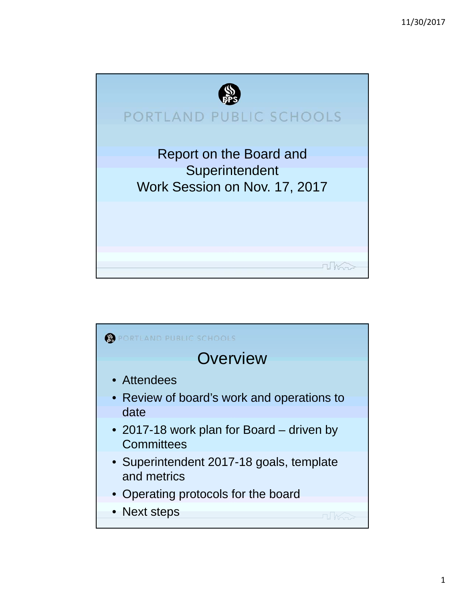

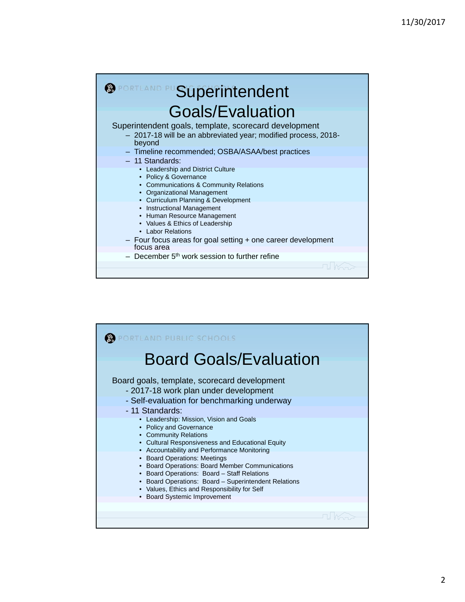## **SPORTLAND PUSUperintendent** Goals/Evaluation Superintendent goals, template, scorecard development – 2017-18 will be an abbreviated year; modified process, 2018 beyond – Timeline recommended; OSBA/ASAA/best practices – 11 Standards: • Leadership and District Culture • Policy & Governance • Communications & Community Relations • Organizational Management • Curriculum Planning & Development • Instructional Management • Human Resource Management • Values & Ethics of Leadership • Labor Relations – Four focus areas for goal setting + one career development focus area  $-$  December 5<sup>th</sup> work session to further refine

| DRTLAND PUBLIC SCHOOLS                                                                                                                                                                                                                                                                                                |
|-----------------------------------------------------------------------------------------------------------------------------------------------------------------------------------------------------------------------------------------------------------------------------------------------------------------------|
| <b>Board Goals/Evaluation</b>                                                                                                                                                                                                                                                                                         |
| Board goals, template, scorecard development<br>- 2017-18 work plan under development<br>- Self-evaluation for benchmarking underway                                                                                                                                                                                  |
| - 11 Standards:<br>• Leadership: Mission, Vision and Goals<br>• Policy and Governance<br>• Community Relations<br>• Cultural Responsiveness and Educational Equity                                                                                                                                                    |
| • Accountability and Performance Monitoring<br>• Board Operations: Meetings<br>• Board Operations: Board Member Communications<br>• Board Operations: Board - Staff Relations<br>• Board Operations: Board - Superintendent Relations<br>• Values, Ethics and Responsibility for Self<br>• Board Systemic Improvement |
|                                                                                                                                                                                                                                                                                                                       |